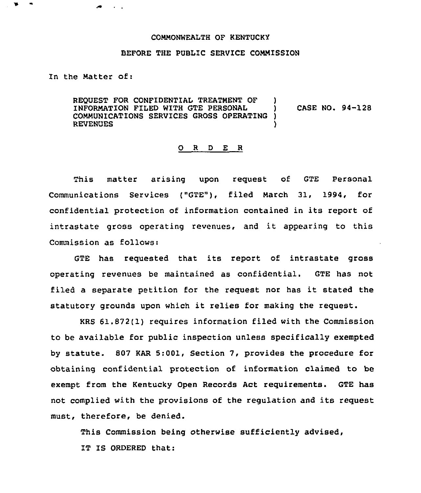## COMMONWEALTH OF KENTUCKY

## BEFORE THE PUBLIC SERVICE COMMISSION

In the Matter of:

REQUEST FOR CONFIDENTIAL TREATMENT OF INFORMATION FILED WITH GTE PERSONAL  $\qquad$  ) CASE NO. 94-128<br>COMMUNICATIONS SERVICES GROSS OPERATING ) COMMUNICATIONS SERVICES GROSS OPERATING ) **REVENUES** 

## 0 <sup>R</sup> <sup>D</sup> E <sup>R</sup>

This matter arising upon request of GTE Personal Communications Services ("GTE"), filed March 31, 1994, for confidential protection of information contained in its report of intrastate gross operating revenues, and it appearing to this Commission as follows:

GTE has requested that its report of intrastate gross operating revenues be maintained as confidential. GTE has not filed <sup>a</sup> separate petition for the request nor has it stated the statutory grounds upon which it relies for making the request.

KRS 61.872(1) requires information filed with the Commission to be available for public inspection unless specifically exempted by statute. 807 KAR 5:001, Section 7, provides the procedure for obtaining confidential protection of information claimed to be exempt from the Kentucky Open Records Act requirements. GTE has not complied with the provisions of the regulation and its request must, therefore, be denied.

This Commission being otherwise sufficiently advised, IT IS ORDERED that: